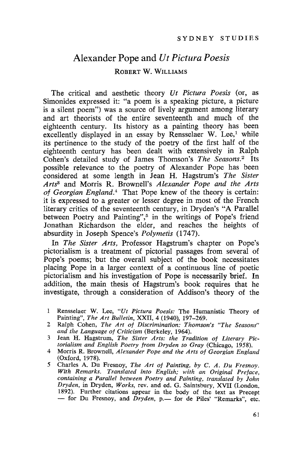# Alexander Pope and *Ut Pictura Poesis* ROBERT W. WILLIAMS

The critical and aesthetic theory *Vt Pictura Poesis* (or, as Simonides expressed it: "a poem is a speaking picture, a picture is a silent poem") was a source of lively argument among literary and art theorists of the entire seventeenth and much of the eighteenth century. Its history as a painting theory has been excellently displayed in an essay by Rensselaer W. Lee,<sup>1</sup> while its pertinence to the study of the poetry of the first half of the eighteenth century has been dealt with extensively in Ralph Cohen's detailed study of James Thomson's *The Seasons. <sup>2</sup>* Its possible relevance to the poetry of Alexander Pope has been considered at some length in Jean H. Hagstrom's *The Sister Arts*<sup>3</sup> and Morris R. Brownell's *Alexander Pope and the Arts of Georgian England. <sup>4</sup>* That Pope knew of the theory is certain: it is expressed to a greater or lesser degree in most of the French literary critics of the seventeenth century, in Dryden's "A Parallel between Poetry and Painting",<sup>5</sup> in the writings of Pope's friend Jonathan Richardson the elder, and reaches the heights of absurdity in Joseph Spence's *Polymetis (1747).*

In *The Sister Arts,* Professor Hagstrum's chapter on Pope's pictorialism is a treatment of pictorial passages from several of Pope's poems; but the overall subject of the book necessitates placing Pope in a larger context of a continuous line of poetic pictorialism and his investigation of Pope is necessarily brief. In addition, the main thesis of Hagstrum's book requires that he investigate, through a consideration of Addison's theory of the

- Rensselaer W. Lee, *"Ut Pictura Poesis:* The Humanistic Theory of  $\mathbf{1}$ Painting", *The Art Bulletin,* XXII, 4 (1940), 197-269.
- 2 Ralph Cohen, *The Art of Discrimination: Thomson's "The Seasons" and the Language of Criticism* (Berkeley, 1964).
- 3 Jean H. Hagstrum, *The Sister Arts: the Tradition of Literary Pictorialism and English Poetry from Dryden to Gray* (Chicago, 1958).
- 4 Morris R. Brownell, *Alexander Pope and the Arts of Georgian England* (Oxford, 1978).
- 5 Charles A. Du Fresnoy, *The Art of Painting, by* C. *A. Du Fresnoy. With Remarks. Translated into English; with an Original Preface, containing a Parallel between Poetry and Painting, translated by John Dryden,* in Dryden, *Works,* rev. and ed. G. Saintsbury, XVII (London, 1892). Further citations appear in the body of the text as Precept - for Du Fresnoy, and *Dryden*, p. - for de Piles' "Remarks", etc.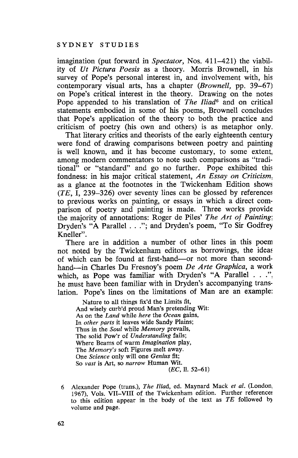imagination (put forward in *Spectator,* Nos. 411-421) the viability of *Vt Pictura Poesis* as a theory. Morris Brownell, in his survey of Pope's personal interest in, and involvement with, his contemporary visual arts, has a chapter *(Brownell,* pp. 39-67) on Pope's critical interest in the theory. Drawing on the notes Pope appended to his translation of *The Iliad*<sup>6</sup> and on critical statements embodied in some of his poems, Brownell concludes that Pope's application of the theory to both the practice and criticism of poetry (his own and others) is as metaphor only.

That literary critics and theorists of the early eighteenth century were fond of drawing comparisons between poetry and painting is well known, and it has become customary, to some extent, among modern commentators to note such comparisons as "traditional" or "standard" and go no further. Pope exhibited this fondness: in his major critical statement, *An Essay on Criticism,* as a glance at the footnotes in the Twickenham Edition shows *(TE,* I, 239-326) over seventy lines can be glossed by references to previous works on painting, or essays in which a direct comparison of poetry and painting is made. Three works provide the majority of annotations: Roger de Piles' *The Art of Painting;* Dryden's "A Parallel ..."; and Dryden's poem, "To Sir Godfrey Kneller".

There are in addition a number of other lines in this poem not noted by the Twickenham editors as borrowings, the ideas of which can be found at first-hand-or not more than secondhand-in Charles Du Fresnoy's poem *De Arte Graphica,* a work which, as Pope was familiar with Dryden's "A Parallel . . ." he must have been familiar with in Dryden's accompanying translation. Pope's lines on the limitations of Man are an example:

Nature to all things fix'd the Limits fit, And wisely curb'd proud Man's pretending Wit: As on the *Land* while *here* the *Ocean* gains, In *other parts* it leaves wide Sandy Plains; Thus in the *Soul* while *Memory* prevails, The solid Pow'r of *Understanding* fails; Where Beams of warm *Imagination* play, The *Memory's* soft Figures melt away. One *Science* only will one *Genius* fit; So *vast* is Art, so *narrow* Human Wit. (EG, 11. 52-61)

<sup>6</sup> Alexander Pope (trans.), *The Iliad,* ed. Maynard Mack *et al.* (London, 1967), Vols. VII-VIII of the Twickenham edition. Further references to this edition appear in the body of the text as *TE* followed b) volume and page.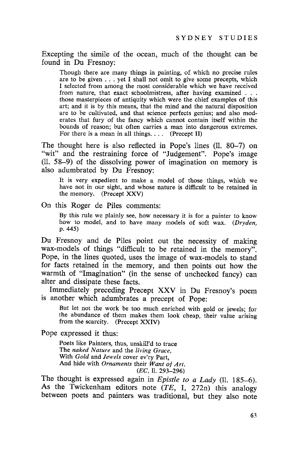Excepting the simile of the ocean, much of the thought can be found in Du Fresnoy:

Though there are many things in painting, of which no precise rules are to be given ... yet <sup>I</sup> shall not omit to give some precepts, which I selected from among the most considerable which we have received from nature, that exact schoolmistress, after having examined . . . those masterpieces of antiquity which were the chief examples of this art; and it is by this means, that the mind and the natural disposition are to be cultivated, and that science perfects genius; and also moderates that fury of the fancy which cannot contain itself within the bounds of reason; but often carries a man into dangerous extremes. For there is a mean in all things. . . . (Precept II)

The thought here is also reflected in Pope's lines (11. 80-7) on "wit" and the restraining force of "Judgement". Pope's image (11. 58-9) of the dissolving power of imagination on memory is also adumbrated by Du Fresnoy:

It is very expedient to make a model of those things, which we have not in our sight, and whose nature is difficult to be retained in the memory. (Precept XXV)

On this Roger de Piles comments:

By this rule we plainly see, how necessary it is for a painter to know how to model, and to have many models of soft wax. *(Dryden,* p.445)

Du Fresnoy and de Piles point out the necessity of making wax-models of things "difficult to be retained in the memory". Pope, in the lines quoted, uses the image of wax-models to stand for facts retained in the memory, and then points out how the warmth of "Imagination" (in the sense of unchecked fancy) can alter and dissipate these facts.

Immediately preceding Precept XXV in Du Fresnoy's poem is another which adumbrates a precept of Pope:

But let not the work be too much enriched with gold or jewels; for the abundance of them makes them look cheap, their value arising from the scarcity. (Precept XXIV)

Pope expressed it thus:

Poets like Painters, thus, unskill'd to trace The *naked Nature* and the *living Grace,* With *Gold* and *Jewels* cover ev'ry Part, And hide with *Ornaments* their *Want of Art.*  $(EC, 11. 293 - 296)$ 

The thought is expressed again in *Epistle to a Lady* (11. 185-6). As the Twickenham editors note  $(TE, 1, 272n)$  this analogy between poets and painters was traditional, but they also note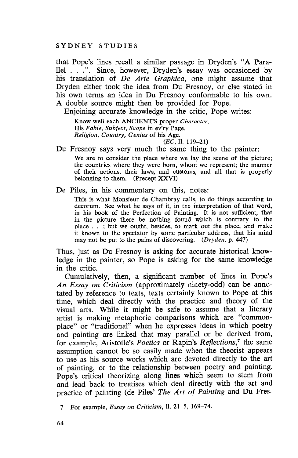that Pope's lines recall a similar passage in Dryden's "A Parallel ...". Since, however, Dryden's essay was occasioned by his translation of *De Arte Graphica,* one might assume that Dryden either took the idea from Du Fresnoy, or else stated in his own terms an idea in Du Fresnoy conformable to his own. A double source might then be provided for Pope.

Enjoining accurate knowledge in the critic, Pope writes:

Know well each ANCIENTS proper *Character,* His *Fable, Subject, Scope* in ev'ry Page, *Religion, Country, Genius* of his Age.

*(EC,* 11. 119-21)

Du Fresnoy says very much the same thing to the painter:

We are to consider the place where we lay the scene of the picture; the countries where they were born, whom we represent; the manner of their actions, their laws, and customs, and all that is properly belonging to them. (Precept XXVI)

De Piles, in his commentary on this, notes:

This is what Monsieur de Chambray calls, to do things according to decorum. See what he says of it, in the interpretation of that word, in his book of the Perfection of Painting. It is not sufficient, that in the picture there be nothing found which is contrary to the place ...; but we ought, besides, to mark out the place, and make it known to the spectator by some particular address, that his mind may not be put to the pains of discovering. *(Dryden,* p. 447)

Thus, just as Du Fresnoy is asking for accurate historical knowledge in the painter, so Pope is asking for the same knowledge in the critic.

Cumulatively, then, a significant number of lines in Pope's *An Essay on Criticism* (approximately ninety-odd) can be annotated by reference to texts, texts certainly known to Pope at this time, which deal directly with the practice and theory of the visual arts. While it might be safe to assume that a literary artist is making metaphoric comparisons which are "commonplace" or "traditional" when he expresses ideas in which poetry and painting are linked that may parallel or be derived from, for example, Aristotle's *Poetics* or Rapin's *Reflections,7* the same assumption cannot be so easily made when the theorist appears to use as his source works which are devoted directly to the art of painting, or to the relationship between poetry and painting. Pope's critical theorizing along lines which seem to stem from and lead back to treatises which deal directly with the art and practice of painting (de Piles' *The Art of Painting* and Du Fres-

7 For example, *Essay on Criticism,* 11. 21-5, 169-74.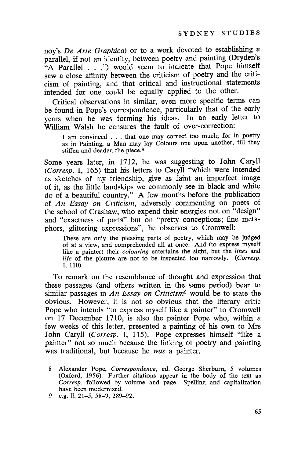noy's *De Arte Graphica*) or to a work devoted to establishing a parallel, if not an identity, between poetry and painting (Dryden's "A Parallel . . .") would seem to indicate that Pope himself saw a close affinity between the criticism of poetry and the criticism of painting, and that critical and instructional statements intended for one could be equally applied to the other.

Critical observations in similar, even more specific terms can be found in Pope's correspondence, particularly that of the early years when he was forming his ideas. In an early letter to William Walsh he censures the fault of over-correction:

I am convinced . . . that one may correct too much; for in poetry as in Painting, a Man may lay Colours one upon another, till they stiffen and deaden the piece.8

Some years later, in 1712, he was suggesting to John Caryll *(Corresp.* I, 165) that his letters to Caryll "which were intended as sketches of my friendship, give as faint an imperfect image of it, as the little landskips we commonly see in black and white do of a beautiful country." A few months before the publication of *An Essay on Criticism,* adversely commenting on poets of the school of Crashaw, who expend their energies not on "design" and "exactness of parts" but on "pretty conceptions; fine metaphors, glittering expressions", he observes to Cromwell:

These are only the pleasing parts of poetry, which may be judged of at a view, and comprehended all at once. And (to express myself like a painter) their *colouring* entertains the sight, but the *lines* and *life* of the picture are not to be inspected too narrowly. *(Corresp.* I, 110)

To remark on the resemblance of thought and expression that these passages (and others written in the same period) bear to similar passages in *An Essay on Criticism*<sup>9</sup> would be to state the obvious. However, it is not so obvious that the literary critic Pope who intends "to express myself like a painter" to Cromwell on 17 December 1710, is also the painter Pope who, within a few weeks of this letter, presented a painting of his own to Mrs John Caryll *(Corresp.* I, 115). Pope expresses himself "like a painter" not so much because the linking of poetry and painting was traditional, but because he *was* a painter.

<sup>8</sup> Alexander Pope, *Correspondence,* ed. George Sherburn, 5 volumes (Oxford, 1956). Further citations appear in the body of the text as *Corresp.* followed by volume and page. Spelling and capitalization have been modernized.

<sup>9</sup> e.g. 11. 21-5, 58-9, 289-92.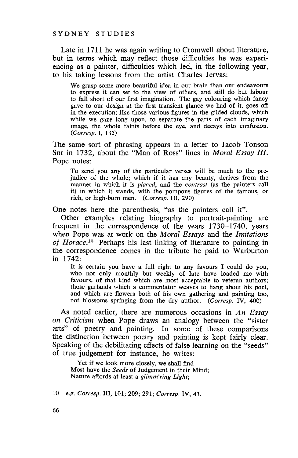Late in 1711 he was again writing to Cromwell about literature, but in terms which may reflect those difficulties he was experiencing as a painter, difficulties which led, in the following year, to his taking lessons from the artist Charles Jervas:

We grasp some more beautiful idea in our brain than our endeavours to express it can set to the view of others, and still do but labour to fall short of our first imagination. The gay colouring which fancy gave to our design at the first transient glance we had of it, goes off in the execution; like those various figures in the gilded clouds, which while we gaze long upon, to separate the parts of each imaginary image, the whole faints before the eye, and decays into confusion. *(Corresp.* I, 135)

The same sort of phrasing appears in a letter to Jacob Tonson Snr in 1732, about the "Man of Ross" lines in *Moral Essay III.* Pope notes:

To send you any of the particular verses will be much to the prejudice of the whole; which if it has any beauty, derives from the manner in which it is *placed,* and the *contrast* (as the painters call it) in which it stands, with the pompous figures of the famous, or rich, or high-born men. *(Corresp.* III, 290)

One notes here the parenthesis, "as the painters call it".

Other examples relating biography to portrait-painting are frequent in the correspondence of the years 1730-1740, years when Pope was at work on the *Moral Essays* and the *Imitations of Horace. <sup>10</sup>* Perhaps his last linking of literature to painting in the correspondence comes in the tribute he paid to Warburton in 1742:

It is certain you have a full right to any favours I could do you, who not only monthly but weekly of late have loaded me with favours, of that kind which are most acceptable to veteran authors; those garlands which a commentator weaves to hang about his poet, and which are flowers both of his own gathering and painting too, not blossoms springing from the dry author. *(Corresp.* IV, 400)

As noted earlier, there are numerous occasions in *An Essay on Criticism* when Pope draws an analogy between the "sister arts" of poetry and painting. In some of these comparisons the distinction between poetry and painting is kept fairly clear. Speaking of the debilitating effects of false learning on the "seeds" of true judgement for instance, he writes:

Yet if we look more closely, we shall find Most have the *Seeds* of Judgement in their Mind; Nature affords at least a *glimm'ring Light;*

10 e.g. *Corresp.* III, 101; 209; 291; *Corresp.* IV, 43.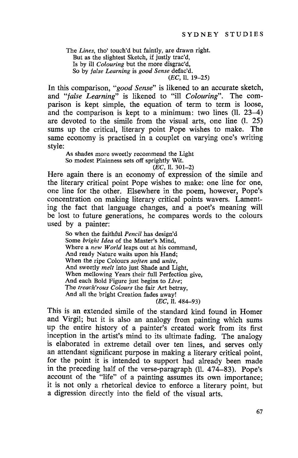The *Lines,* tho' touch'd but faintly, are drawn right. But as the slightest Sketch, if justly trac'd, Is by ill *Colouring* but the more disgrac'd, So by *false Learning* is *good Sense* defac'd.

(EC, 11. 19-25)

In this comparison, *"good Sense"* is likened to an accurate sketch, and *"false Learning"* is likened to "ill *Colouring".* The comparison is kept simple, the equation of term to term is loose, and the comparison is kept to a minimum: two lines (11. 23-4) are devoted to the simile from the visual arts, one line (1. 25) sums up the critical, literary point Pope wishes to make. The same economy is practised in a couplet on varying one's writing style:

As shades more sweetly recommend the Light So modest Plainness sets off sprightly Wit.

(EC, 11. 301-2)

Here again there is an economy of expression of the simile and the literary critical point Pope wishes to make: one line for one, one line for the other. Elsewhere in the poem, however, Pope's concentration on making literary critical points wavers. Lamenting the fact that language changes, and a poet's meaning will be lost to future generations, he compares words to the colours used by a painter:

So when the faithful *Pencil* has design'd Some *bright Idea* of the Master's Mind, Where a *new World* leaps out at his command, And ready Nature waits upon his Hand; When the ripe Colours *soften* and *unite,* And sweetly *melt* into just Shade and Light, When mellowing Years their full Perfection give, And each Bold Figure just begins to *Live;* The *treach'rous Colours* the fair Art betray, And all the bright Creation fades away!

(EC, 11. 484-93)

This is an extended simile of the standard kind found in Homer and Virgil; but it is also an analogy from painting which sums up the entire history of a painter's created work from its first inception in the artist's mind to its ultimate fading. The analogy is elaborated in extreme detail over ten lines, and serves only an attendant significant purpose in making a literary critical point, for the point it is intended to support had already been made in the preceding half of the verse-paragraph (II. 474-83). Pope's account of the "life" of a painting assumes its own importance; it is not only a rhetorical device to enforce a literary point, but a digression directly into the field of the visual arts.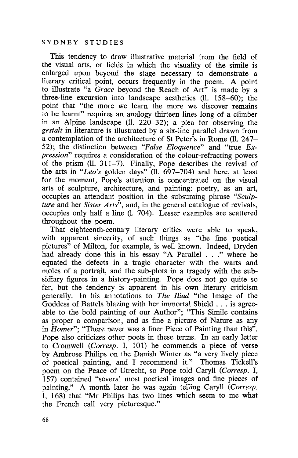This tendency to draw illustrative material from the field of the visual arts, or fields in which the visuality of the simile is enlarged upon beyond the stage necessary to demonstrate a literary critical point, occurs frequently in the poem. A point to illustrate "a *Grace* beyond the Reach of Art" is made by a three-line excursion into landscape aesthetics (ll. 158-60); the point that "the more we learn the more we discover remains to be learnt" requires an analogy thirteen lines long of a climber in an Alpine landscape (ll. 220-32); a plea for observing the *gestalt* in literature is illustrated by a six-line parallel drawn from a contemplation of the architecture of St Peter's in Rome (ll. 247- 52); the distinction between *"False Eloquence"* and "true *Expression"* requires a consideration of the colour-refracting powers of the prism (11. 311-7). Finally, Pope describes the revival of the arts in *"Leo's* golden days" (11. 697-704) and here, at least for the moment, Pope's attention is concentrated on the visual arts of sculpture, architecture, and painting: poetry, as an art, occupies an attendant position in the subsuming phrase *"Sculpture* and her *Sister Arts",* and, in the general catalogue of revivals, occupies only half a line (1. 704). Lesser examples are scattered throughout the poem.

That eighteenth-century literary critics were able to speak, with apparent sincerity, of such things as "the fine poetical pictures" of Milton, for example, is well known. Indeed, Dryden had already done this in his essay "A Parallel . . ." where he equated the defects in a tragic character with the warts and moles of a portrait, and the sub-plots in a tragedy with the subsidiary figures in a history-painting. Pope does not go quite so far, but the tendency is apparent in his own literary criticism generally. In his annotations to *The Iliad* "the Image of the Goddess of Battels blazing with her immortal Shield . . . is agreeable to the bold painting of our Author"; "This Simile contains as proper a comparison, and as fine a picture of Nature as any in *Homer";* "There never was a finer Piece of Painting than this". Pope also criticizes other poets in these terms. In an early letter to Cromwell *(Corresp.* I, 101) he commends a piece of verse by Ambrose Philips on the Danish Winter as "a very lively piece of poetical painting, and I recommend it." Thomas Tickell's poem on the Peace of Utrecht, so Pope told Caryll *(Corresp. I,* 157) contained "several most poetical images and fine pieces of painting." A month later he was again telling Caryll *(Corresp.* I, 168) that "Mr Philips has two lines which seem to me what the French call very picturesque."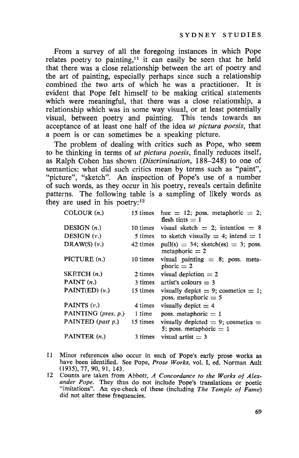From a survey of all the foregoing instances in which Pope relates poetry to painting,<sup> $11$ </sup> it can easily be seen that he held that there was a close relationship between the art of poetry and the art of painting, especially perhaps since such a relationship combined the two arts of which he was a practitioner. It is evident that Pope felt himself to be making critical statements which were meaningful, that there was a close relationship, a relationship which was in some way visual, or at least potentially visual, between poetry and painting. This tends towards an acceptance of at least one half of the idea *ut pictura poesis,* that a poem is or can sometimes be a speaking picture.

The problem of dealing with critics such as Pope, who seem to be thinking in terms of *ut pictura poesis,* finally reduces itself, as Ralph Cohen has shown *(Discrimination,* 188-248) to one of semantics: what did such critics mean by terms such as "paint", "picture", "sketch". An inspection of Pope's use of a number of such words, as they occur in his poetry, reveals certain definite patterns. The following table is a sampling of likely words as they are used in his poetry: $12$ 

| COLOUR $(n.)$       | 15 times | hue $= 12$ ; poss. metaphoric $= 2$ ;<br>flesh tints $=$ 1           |
|---------------------|----------|----------------------------------------------------------------------|
| DESIGN $(n.)$       | 10 times | visual sketch $= 2$ ; intention $= 8$                                |
| DESIGN $(v.)$       |          | 5 times to sketch visually $=$ 4; intend $=$ 1                       |
| $DRAW(S)$ $(v.)$    | 42 times | $pull(s) = 34$ ; sketch(es) = 3; poss.<br>metaphoric $= 2$           |
| PICTURE $(n.)$      | 10 times | visual painting $= 8$ ; poss. meta-<br>phoric $= 2$                  |
| SKEYCH(n.)          | 2 times  | visual depiction $= 2$                                               |
| PAINT $(n.)$        |          | 3 times artist's colours $=$ 3                                       |
| $PAINT(ED) (\nu.)$  | 15 times | visually depict $= 9$ ; cosmetics $= 1$ ;<br>poss. metaphoric $= 5$  |
| PAINTS (v.)         | 4 times  | visually depict $=$ 4                                                |
| PAINTING (pres. p.) | 1 time   | poss. metaphoric $= 1$                                               |
| PAINTED (past p.)   | 15 times | visually depicted $= 9$ ; cosmetics $=$<br>5; poss. metaphoric $= 1$ |
| PAINTER $(n.)$      | 3 times  | visual artist $=$ 3                                                  |

- 11 Minor references also occur in such of Pope's early prose works as have been identified. See Pope, Prose Works, vol. I, ed. Norman Ault (1935),77,90,91, 143.
- 12 Counts are taken from Abbott, A Concordance to the Works of Alexander Pope. They thus do not include Pope's translations or poetic "imitations". An eye-check of these (including The Temple of Fame) did not alter these frequencies.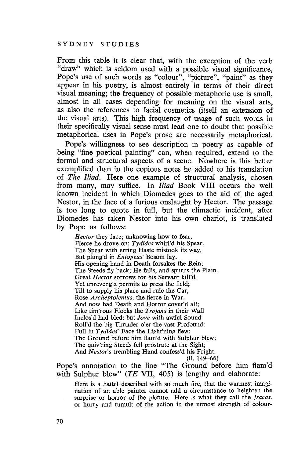From this table it is clear that, with the exception of the verb "draw" which is seldom used with a possible visual significance, Pope's use of such words as "colour", "picture", "paint" as they appear in his poetry, is almost entirely in terms of their direct visual meaning; the frequency of possible metaphoric use is small, almost in all cases depending for meaning on the visual arts, as also the references to facial cosmetics (itself an extension of the visual arts). This high frequency of usage of such words in their specifically visual sense must lead one to doubt that possible metaphorical uses in Pope's prose are necessarily metaphorical.

Pope's willingness to see description in poetry as capable of being "fine poetical painting" can, when required, extend to the formal and structural aspects of a scene. Nowhere is this better exemplified than in the copious notes he added to his translation of *The Iliad.* Here one example of structural analysis, chosen from many, may suffice. In *Iliad* Book VIII occurs the well known incident in which Diomedes goes to the aid of the aged Nestor, in the face of a furious onslaught by Hector. The passage is too long to quote in full, but the climactic incident, after Diomedes has taken Nestor into his own chariot, is translated by Pope as follows:

*Hector* they face; unknowing how to fear, Fierce he drove on; *Tydides* whirI'd his Spear. The Spear with erring Haste mistook its way, But plung'd in *Eniopeus'* Bosom lay. His opening hand in Death forsakes the Rein; The Steeds fly back; He falls, and spurns the Plain. Great *Hector* sorrows for his Servant kilI'd, Yet unreveng'd permits to press the field; Till to supply his place and rule the Car, Rose *Archeptolemus,* the fierce in War. And now had Death and Horror cover'd all; Like tim'rous Flocks the *Trojans* in their Wall Inclos'd had bled: but *Jove* with awful Sound Roll'd the big Thunder o'er the vast Profound: Full in *Tydides'* Face the Light'ning flew; The Ground before him flam'd with Sulphur blew; The quiv'ring Steeds fell prostrate at the Sight; And *Nestor's* trembling Hand confess'd his Fright.

(II. 149-66)

Pope's annotation to the line "The Ground before him flam'd with Sulphur blew"  $(TE \text{ VII}, 405)$  is lengthy and elaborate:

Here is a battel described with so much fire, that the warmest imagination of an able painter cannot add a circumstance to heighten the surprise or horror of the picture. Here is what they call the *fracas,* or hurry and tumult of the action in the utmost strength of colour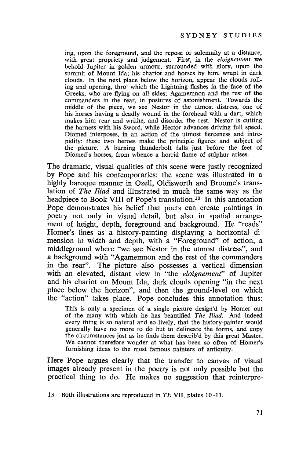ing, upon the foreground, and the repose or solemnity at a distance, with great propriety and judgement. First, in the *eloignement* we behold Jupiter in golden armour, surrounded with glory, upon the summit of Mount Ida; his chariot and horses by him, wrapt in dark clouds. In the next place below the horizon, appear the clouds rolling and opening, thro' which the Lightning flashes in the face of the Greeks, who are flying on all sides; Agamemnon and the rest of the commanders in the rear, in postures of astonishment. Towards the middle of the piece, we see Nestor in the utmost distress, one of his horses having a deadly wound in the forehead with a dart, which makes him rear and writhe, and disorder the rest. Nestor is cutting the harness with his Sword, while Hector advances driving full speed. Diomed interposes, in an action of the utmost fierceness and intrepidity: these two heroes make the principle figures and subject of the picture. A burning thunderbolt falls just before the feet of Diomed's horses, from whence a horrid flame of sulphur arises.

The dramatic, visual qualities of this scene were justly recognized by Pope and his contemporaries: the scene was illustrated in a highly baroque manner in Ozell, Oldisworth and Broome's translation of *The Iliad* and illustrated in much the same way as the headpiece to Book VIII of Pope's translation.<sup>13</sup> In this annotation Pope demonstrates his belief that poets can create paintings in poetry not only in visual detail, but also in spatial arrangement of height, depth, foreground and background. He "reads" Homer's lines as a history-painting displaying a horizontal dimension in width and depth, with a "Foreground" of action, a middleground where "we see Nestor in the utmost distress", and a background with "Agamemnon and the rest of the commanders in the rear". The picture also possesses a vertical dimension with an elevated, distant view in "the *eloignement"* of Jupiter and his chariot on Mount Ida, dark clouds opening "in the next place below the horizon", and then the ground-level on which the "action" takes place. Pope concludes this annotation thus:

This is only a specimen of a single picture design'd by Homer out of the many with which he has beautified *The Iliad.* And indeed every thing is so natural and so lively, that the history-painter would generally have no more to do but to delineate the forms, and copy the circumstances just as he finds them describ'd by this great Master. We cannot therefore wonder at what has been so often of Homer's furnishing ideas to the most famous painters of antiquity.

Here Pope argues clearly that the transfer to canvas of visual images already present in the poetry is not only possible but the practical thing to do. He makes no suggestion that reinterpre-

13 Both illustrations are reproduced in *TE* VII, plates 10-11.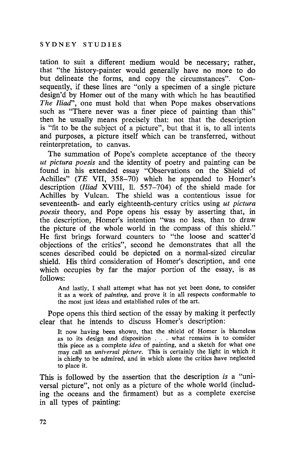tation to suit a different medium would be necessary; rather, that "the history-painter would generally have no more to do but delineate the forms, and copy the circumstances". Consequently, if these lines are "only a specimen of a single picture design'd by Homer out of the many with which he has beautified *The Iliad",* one must hold that when Pope makes observations such as "There never was a finer piece of painting than this" then he usually means precisely that: not that the description is "fit to be the subject of a picture", but that it is, to all intents and purposes, a picture itself which can be transferred, without reinterpretation, to canvas.

The summation of Pope's complete acceptance of the theory *ut pictura poesis* and the identity of poetry and painting can be found in his extended essay "Observations on the Shield of Achilles" (TE VII,  $358-70$ ) which he appended to Homer's description *(Iliad* XVIII, 11. 557-704) of the shield made for Achilles by Vulcan. The shield was a contentious issue for seventeenth- and early eighteenth-century critics using *ut pictura poesis* theory, and Pope opens his essay by asserting that, in the description, Homer's intention "was no less, than to draw the picture of the whole world in the compass of this shield." He first brings forward counters to "the loose and scatter'd objections of the critics", second he demonstrates that all the scenes described could be depicted on a normal-sized circular shield. His third consideration of Homer's description, and one which occupies by far the major portion of the essay, is as follows:

And lastly, I shall attempt what has not yet been done, to consider it as a work of *painting,* and prove it in all respects conformable to the most just ideas and established rules of the art.

Pope opens this third section of the essay by making it perfectly clear that he intends to discuss Homer's description:

It now having been shown, that the shield of Homer is blameless as to its design and disposition . . . what remains is to consider this piece as a complete *idea* of painting, and a sketch for what one may call an *universal picture.* This is certainly the light in which it is chiefly to be admired, and in which alone the critics have neglected to place it.

This is followed by the assertion that the description *is* a "universal picture", not only as a picture of the whole world (including the oceans and the firmament) but as a complete exercise in all types of painting: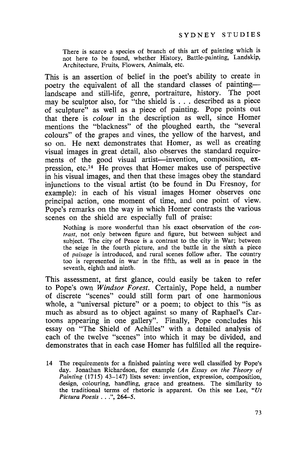There is scarce a species of branch of this art of painting which is not here to be found, whether History, Battle-painting, Landskip, Architecture, Fruits, Flowers, Animals, etc.

This is an assertion of belief in the poet's ability to create in poetry the equivalent of all the standard classes of paintinglandscape and still-life, genre, portraiture, history. The poet may be sculptor also, for "the shield is . . . described as a piece of sculpture" as well as a piece of painting. Pope points out that there is *colour* in the description as well, since Homer mentions the "blackness" of the ploughed earth, the "several colours" of the grapes and vines, the yellow of the harvest, and so on. He next demonstrates that Homer, as well as creating visual images in great detail, also observes the standard requirements of the good visual artist-invention, composition, expression, etc.14 He proves that Homer makes use of perspective in his visual images, and then that these images obey the standard injunctions to the visual artist (to be found in Du Fresnoy, for example): in each of his visual images Homer observes one principal action, one moment of time, and one point of view. Pope's remarks on the way in which Homer contrasts the various scenes on the shield are especially full of praise:

Nothing is more wonderful than his exact observation of the *contrast,* not only between figure and figure, but between subject and subject. The city of Peace is a contrast to the city in War; between the seige in the fourth picture, and the battle in the sixth a piece of *paisage* is introduced, and rural scenes follow after. The country too is represented in war in the fifth, as well as in peace in the seventh, eighth and ninth.

This assessment, at first glance, could easily be taken to refer to Pope's own *Windsor Forest.* Certainly, Pope held, a number of discrete "scenes" could still form part of one harmonious whole, a "universal picture" or a poem; to object to this "is as much as absurd as to object against so many of Raphael's Cartoons appearing in one gallery". Finally, Pope concludes his essay on "The Shield of Achilles" with a detailed analysis of each of the twelve "scenes" into which it may be divided, and demonstrates that in each case Homer has fulfilled all the require-

14 The requirements for a finished painting were well classified by Pope's day. Jonathan Richardson, for example *(An Essay on the Theory of Painting* (1715) 43-147) lists seven: invention, expression, composition, design, colouring, handling, grace and greatness. The similarity to the traditional terms of rhetoric is apparent. On this see Lee, *"Ut Pictura Poesis* ...", 264-5.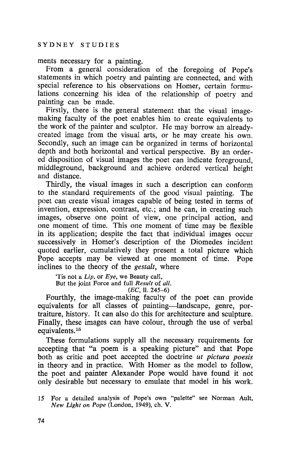### ments necessary for a painting.

From a general consideration of the foregoing of Pope's statements in which poetry and painting are connected, and with special reference to his observations on Homer, certain formulations concerning his idea of the relationship of poetry and painting can be made.

Firstly, there is the general statement that the visual imagemaking faculty of the poet enables him to create equivalents to the work of the painter and sculptor. He may borrow an alreadycreated image from the visual arts, or he may create his own. Secondly, such an image can be organized in terms of horizontal depth and both horizontal and vertical perspective. By an ordered disposition of visual images the poet can indicate foreground, middleground, background and achieve ordered vertical height and distance.

Thirdly, the visual images in such a description can conform to the standard requirements of the good visual painting. The poet can create visual images capable of being tested in terms of invention, expression, contrast, etc.; and he can, in creating such images, observe one point of view, one principal action, and one moment of time. This one moment of time may be flexible in its application; despite the fact that individual images occur successively in Homer's description of the Diomedes incident quoted earlier, cumulatively they present a total picture which Pope accepts may be viewed at one moment of time. Pope inclines to the theory of the *gestalt,* where

Tis not a *Lip,* or *Eye,* we Beauty call, But the joint Force and full *Result* of *all.*

 $(EC, 11. 245-6)$ 

Fourthly, the image-making faculty of the poet can provide equivalents for all classes of painting-landscape, genre, portraiture, history. It can also do this for architecture and sculpture. Finally, these images can have colour, through the use of verbal equivalents.<sup>15</sup>

These formulations supply all the necessary requirements for accepting that "a poem is a speaking picture" and that Pope both as critic and poet accepted the doctrine *ut pictura poesis* in theory and in practice. With Homer as the model to follow, the poet and painter Alexander Pope would have found it not only desirable but necessary to emulate that model in his work.

15 For a detailed analysis of Pope's own "palette" see Norman Ault, *New Light on Pope* (London, 1949), ch. V.